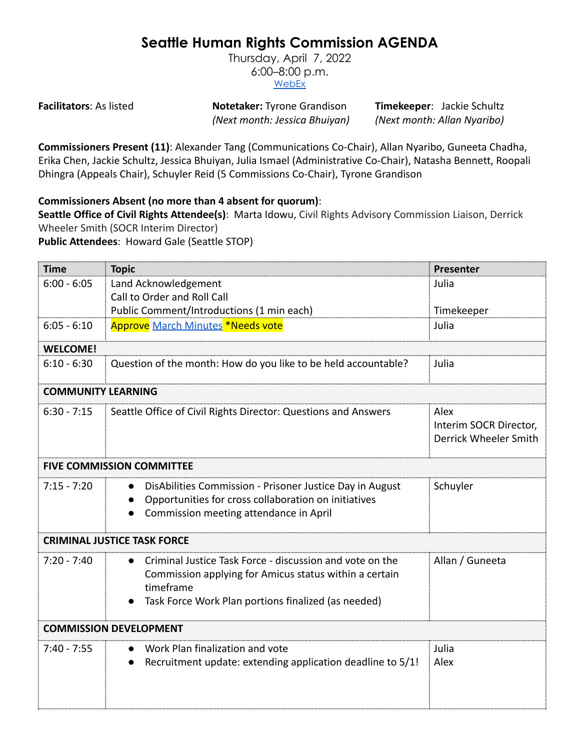## **Seattle Human Rights Commission AGENDA**

Thursday, April 7, 2022 6:00–8:00 p.m. [WebEx](https://www.seattle.gov/humanrights/calendar)

**Facilitators**: As listed **Notetaker:** Tyrone Grandison **Timekeeper**: Jackie Schultz *(Next month: Jessica Bhuiyan) (Next month: Allan Nyaribo)*

**Commissioners Present (11)**: Alexander Tang (Communications Co-Chair), Allan Nyaribo, Guneeta Chadha, Erika Chen, Jackie Schultz, Jessica Bhuiyan, Julia Ismael (Administrative Co-Chair), Natasha Bennett, Roopali Dhingra (Appeals Chair), Schuyler Reid (5 Commissions Co-Chair), Tyrone Grandison

## **Commissioners Absent (no more than 4 absent for quorum)**:

**Seattle Office of Civil Rights Attendee(s)**: Marta Idowu, Civil Rights Advisory Commission Liaison, Derrick Wheeler Smith (SOCR Interim Director)

**Public Attendees**: Howard Gale (Seattle STOP)

| <b>Time</b>                        | <b>Topic</b>                                                                                                                                                                                        | Presenter                                               |  |
|------------------------------------|-----------------------------------------------------------------------------------------------------------------------------------------------------------------------------------------------------|---------------------------------------------------------|--|
| $6:00 - 6:05$                      | Land Acknowledgement                                                                                                                                                                                | Julia                                                   |  |
|                                    | Call to Order and Roll Call                                                                                                                                                                         |                                                         |  |
|                                    | Public Comment/Introductions (1 min each)                                                                                                                                                           | Timekeeper                                              |  |
| $6:05 - 6:10$                      | Approve March Minutes *Needs vote                                                                                                                                                                   | Julia                                                   |  |
| <b>WELCOME!</b>                    |                                                                                                                                                                                                     |                                                         |  |
| $6:10 - 6:30$                      | Question of the month: How do you like to be held accountable?                                                                                                                                      | Julia                                                   |  |
| <b>COMMUNITY LEARNING</b>          |                                                                                                                                                                                                     |                                                         |  |
| $6:30 - 7:15$                      | Seattle Office of Civil Rights Director: Questions and Answers                                                                                                                                      | Alex<br>Interim SOCR Director,<br>Derrick Wheeler Smith |  |
| <b>FIVE COMMISSION COMMITTEE</b>   |                                                                                                                                                                                                     |                                                         |  |
| $7:15 - 7:20$                      | DisAbilities Commission - Prisoner Justice Day in August<br>Opportunities for cross collaboration on initiatives<br>Commission meeting attendance in April                                          | Schuyler                                                |  |
| <b>CRIMINAL JUSTICE TASK FORCE</b> |                                                                                                                                                                                                     |                                                         |  |
| $7:20 - 7:40$                      | Criminal Justice Task Force - discussion and vote on the<br>$\bullet$<br>Commission applying for Amicus status within a certain<br>timeframe<br>Task Force Work Plan portions finalized (as needed) | Allan / Guneeta                                         |  |
|                                    | <b>COMMISSION DEVELOPMENT</b>                                                                                                                                                                       |                                                         |  |
| $7:40 - 7:55$                      | Work Plan finalization and vote<br>Recruitment update: extending application deadline to 5/1!                                                                                                       | Julia<br>Alex                                           |  |